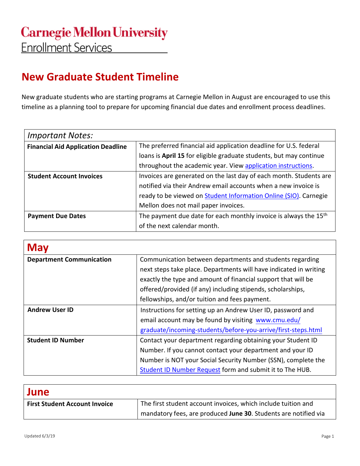## **New Graduate Student Timeline**

New graduate students who are starting programs at Carnegie Mellon in August are encouraged to use this timeline as a planning tool to prepare for upcoming financial due dates and enrollment process deadlines.

| <b>Important Notes:</b>                   |                                                                              |
|-------------------------------------------|------------------------------------------------------------------------------|
| <b>Financial Aid Application Deadline</b> | The preferred financial aid application deadline for U.S. federal            |
|                                           | loans is April 15 for eligible graduate students, but may continue           |
|                                           | throughout the academic year. View application instructions.                 |
| <b>Student Account Invoices</b>           | Invoices are generated on the last day of each month. Students are           |
|                                           | notified via their Andrew email accounts when a new invoice is               |
|                                           | ready to be viewed on Student Information Online (SIO). Carnegie             |
|                                           | Mellon does not mail paper invoices.                                         |
| <b>Payment Due Dates</b>                  | The payment due date for each monthly invoice is always the 15 <sup>th</sup> |
|                                           | of the next calendar month.                                                  |

| <b>May</b>                      |                                                                   |
|---------------------------------|-------------------------------------------------------------------|
| <b>Department Communication</b> | Communication between departments and students regarding          |
|                                 | next steps take place. Departments will have indicated in writing |
|                                 | exactly the type and amount of financial support that will be     |
|                                 | offered/provided (if any) including stipends, scholarships,       |
|                                 | fellowships, and/or tuition and fees payment.                     |
| <b>Andrew User ID</b>           | Instructions for setting up an Andrew User ID, password and       |
|                                 | email account may be found by visiting www.cmu.edu/               |
|                                 | graduate/incoming-students/before-you-arrive/first-steps.html     |
| <b>Student ID Number</b>        | Contact your department regarding obtaining your Student ID       |
|                                 | Number. If you cannot contact your department and your ID         |
|                                 | Number is NOT your Social Security Number (SSN), complete the     |
|                                 | Student ID Number Request form and submit it to The HUB.          |

| June                                 |                                                                 |
|--------------------------------------|-----------------------------------------------------------------|
| <b>First Student Account Invoice</b> | The first student account invoices, which include tuition and   |
|                                      | mandatory fees, are produced June 30. Students are notified via |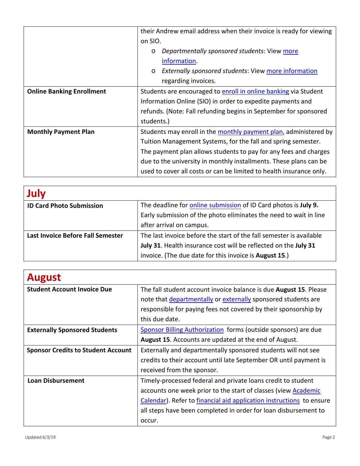|                                  | their Andrew email address when their invoice is ready for viewing     |
|----------------------------------|------------------------------------------------------------------------|
|                                  | on SIO.                                                                |
|                                  | Departmentally sponsored students: View more<br>$\circ$                |
|                                  | information.                                                           |
|                                  | <b>Externally sponsored students: View more information</b><br>$\circ$ |
|                                  | regarding invoices.                                                    |
| <b>Online Banking Enrollment</b> | Students are encouraged to enroll in online banking via Student        |
|                                  | Information Online (SIO) in order to expedite payments and             |
|                                  | refunds. (Note: Fall refunding begins in September for sponsored       |
|                                  | students.)                                                             |
| <b>Monthly Payment Plan</b>      | Students may enroll in the monthly payment plan, administered by       |
|                                  | Tuition Management Systems, for the fall and spring semester.          |
|                                  | The payment plan allows students to pay for any fees and charges       |
|                                  | due to the university in monthly installments. These plans can be      |
|                                  | used to cover all costs or can be limited to health insurance only.    |

| July                              |                                                                     |
|-----------------------------------|---------------------------------------------------------------------|
| <b>ID Card Photo Submission</b>   | The deadline for online submission of ID Card photos is July 9.     |
|                                   | Early submission of the photo eliminates the need to wait in line   |
|                                   | after arrival on campus.                                            |
| Last Invoice Before Fall Semester | The last invoice before the start of the fall semester is available |
|                                   | July 31. Health insurance cost will be reflected on the July 31     |
|                                   | invoice. (The due date for this invoice is August 15.)              |

| <b>August</b>                             |                                                                           |
|-------------------------------------------|---------------------------------------------------------------------------|
| <b>Student Account Invoice Due</b>        | The fall student account invoice balance is due <b>August 15</b> . Please |
|                                           | note that departmentally or externally sponsored students are             |
|                                           | responsible for paying fees not covered by their sponsorship by           |
|                                           | this due date.                                                            |
| <b>Externally Sponsored Students</b>      | Sponsor Billing Authorization forms (outside sponsors) are due            |
|                                           | <b>August 15.</b> Accounts are updated at the end of August.              |
| <b>Sponsor Credits to Student Account</b> | Externally and departmentally sponsored students will not see             |
|                                           | credits to their account until late September OR until payment is         |
|                                           | received from the sponsor.                                                |
| <b>Loan Disbursement</b>                  | Timely-processed federal and private loans credit to student              |
|                                           | accounts one week prior to the start of classes (view Academic            |
|                                           | Calendar). Refer to financial aid application instructions to ensure      |
|                                           | all steps have been completed in order for loan disbursement to           |
|                                           | occur.                                                                    |